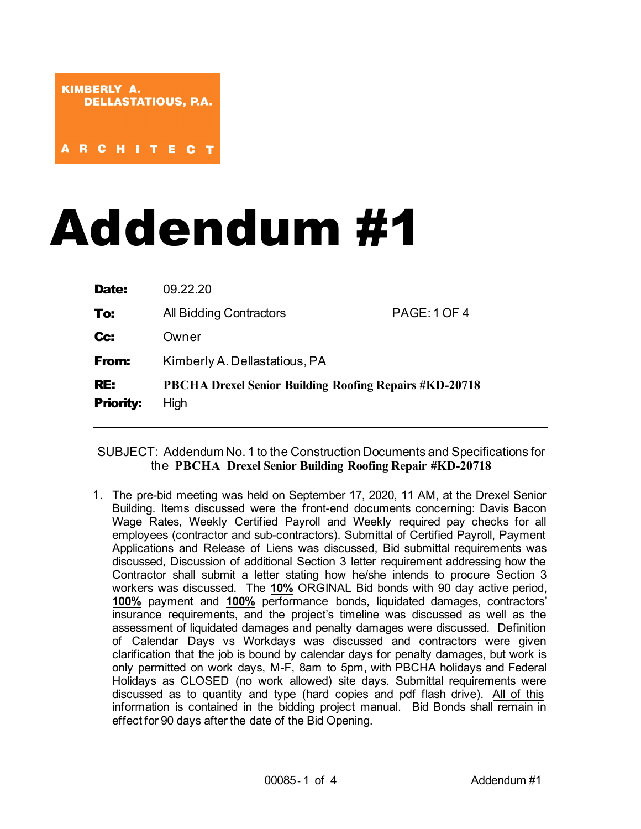# Addendum #1

| Date:                   | 09.22.20                                                              |                     |
|-------------------------|-----------------------------------------------------------------------|---------------------|
| To:                     | All Bidding Contractors                                               | <b>PAGE: 1 OF 4</b> |
| Cc:                     | Owner                                                                 |                     |
| From:                   | Kimberly A. Dellastatious, PA                                         |                     |
| RE:<br><b>Priority:</b> | <b>PBCHA Drexel Senior Building Roofing Repairs #KD-20718</b><br>High |                     |

# SUBJECT: Addendum No. 1 to the Construction Documents and Specifications for the **PBCHA Drexel Senior Building Roofing Repair #KD-20718**

1. The pre-bid meeting was held on September 17, 2020, 11 AM, at the Drexel Senior Building. Items discussed were the front-end documents concerning: Davis Bacon Wage Rates, Weekly Certified Payroll and Weekly required pay checks for all employees (contractor and sub-contractors). Submittal of Certified Payroll, Payment Applications and Release of Liens was discussed, Bid submittal requirements was discussed, Discussion of additional Section 3 letter requirement addressing how the Contractor shall submit a letter stating how he/she intends to procure Section 3 workers was discussed. The **10%** ORGINAL Bid bonds with 90 day active period, **100%** payment and **100%** performance bonds, liquidated damages, contractors' insurance requirements, and the project's timeline was discussed as well as the assessment of liquidated damages and penalty damages were discussed. Definition of Calendar Days vs Workdays was discussed and contractors were given clarification that the job is bound by calendar days for penalty damages, but work is only permitted on work days, M-F, 8am to 5pm, with PBCHA holidays and Federal Holidays as CLOSED (no work allowed) site days. Submittal requirements were discussed as to quantity and type (hard copies and pdf flash drive). All of this information is contained in the bidding project manual. Bid Bonds shall remain in effect for 90 days after the date of the Bid Opening.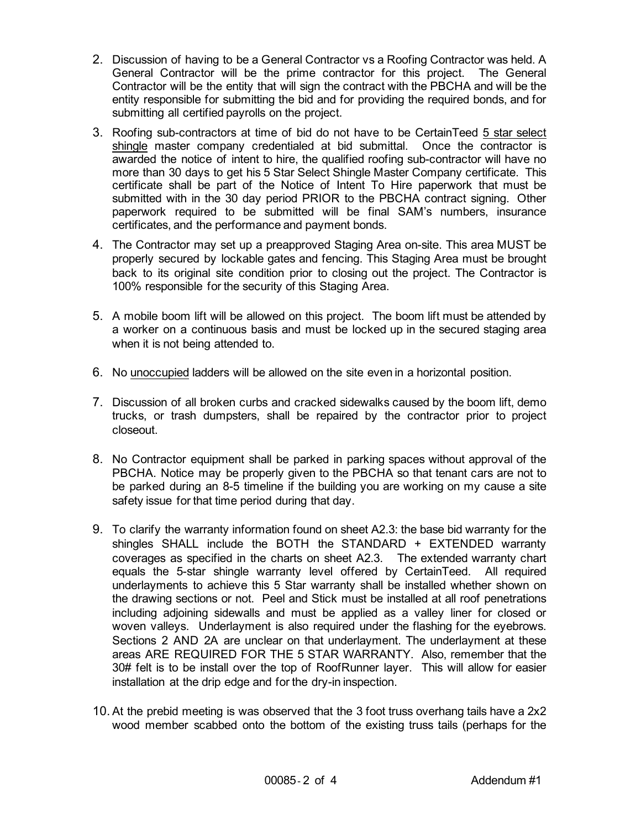- 2. Discussion of having to be a General Contractor vs a Roofing Contractor was held. A General Contractor will be the prime contractor for this project. The General Contractor will be the entity that will sign the contract with the PBCHA and will be the entity responsible for submitting the bid and for providing the required bonds, and for submitting all certified payrolls on the project.
- 3. Roofing sub-contractors at time of bid do not have to be CertainTeed 5 star select shingle master company credentialed at bid submittal. Once the contractor is awarded the notice of intent to hire, the qualified roofing sub-contractor will have no more than 30 days to get his 5 Star Select Shingle Master Company certificate. This certificate shall be part of the Notice of Intent To Hire paperwork that must be submitted with in the 30 day period PRIOR to the PBCHA contract signing. Other paperwork required to be submitted will be final SAM's numbers, insurance certificates, and the performance and payment bonds.
- 4. The Contractor may set up a preapproved Staging Area on-site. This area MUST be properly secured by lockable gates and fencing. This Staging Area must be brought back to its original site condition prior to closing out the project. The Contractor is 100% responsible for the security of this Staging Area.
- 5. A mobile boom lift will be allowed on this project. The boom lift must be attended by a worker on a continuous basis and must be locked up in the secured staging area when it is not being attended to.
- 6. No unoccupied ladders will be allowed on the site even in a horizontal position.
- 7. Discussion of all broken curbs and cracked sidewalks caused by the boom lift, demo trucks, or trash dumpsters, shall be repaired by the contractor prior to project closeout.
- 8. No Contractor equipment shall be parked in parking spaces without approval of the PBCHA. Notice may be properly given to the PBCHA so that tenant cars are not to be parked during an 8-5 timeline if the building you are working on my cause a site safety issue for that time period during that day.
- 9. To clarify the warranty information found on sheet A2.3: the base bid warranty for the shingles SHALL include the BOTH the STANDARD + EXTENDED warranty coverages as specified in the charts on sheet A2.3. The extended warranty chart equals the 5-star shingle warranty level offered by CertainTeed. All required underlayments to achieve this 5 Star warranty shall be installed whether shown on the drawing sections or not. Peel and Stick must be installed at all roof penetrations including adjoining sidewalls and must be applied as a valley liner for closed or woven valleys. Underlayment is also required under the flashing for the eyebrows. Sections 2 AND 2A are unclear on that underlayment. The underlayment at these areas ARE REQUIRED FOR THE 5 STAR WARRANTY. Also, remember that the 30# felt is to be install over the top of RoofRunner layer. This will allow for easier installation at the drip edge and for the dry-in inspection.
- 10. At the prebid meeting is was observed that the 3 foot truss overhang tails have a 2x2 wood member scabbed onto the bottom of the existing truss tails (perhaps for the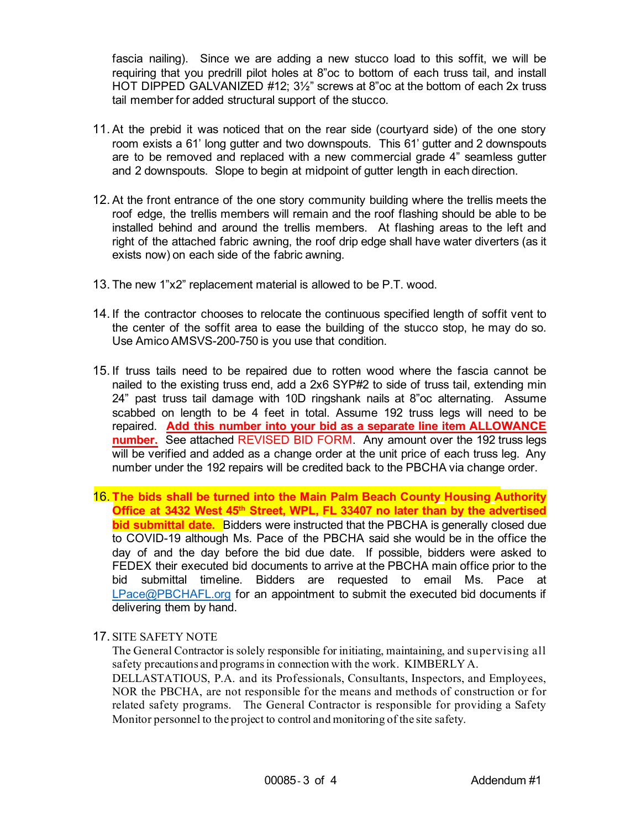fascia nailing). Since we are adding a new stucco load to this soffit, we will be requiring that you predrill pilot holes at 8"oc to bottom of each truss tail, and install HOT DIPPED GALVANIZED #12; 3½" screws at 8"oc at the bottom of each 2x truss tail member for added structural support of the stucco.

- 11. At the prebid it was noticed that on the rear side (courtyard side) of the one story room exists a 61' long gutter and two downspouts. This 61' gutter and 2 downspouts are to be removed and replaced with a new commercial grade 4" seamless gutter and 2 downspouts. Slope to begin at midpoint of gutter length in each direction.
- 12. At the front entrance of the one story community building where the trellis meets the roof edge, the trellis members will remain and the roof flashing should be able to be installed behind and around the trellis members. At flashing areas to the left and right of the attached fabric awning, the roof drip edge shall have water diverters (as it exists now) on each side of the fabric awning.
- 13. The new 1"x2" replacement material is allowed to be P.T. wood.
- 14. If the contractor chooses to relocate the continuous specified length of soffit vent to the center of the soffit area to ease the building of the stucco stop, he may do so. Use Amico AMSVS-200-750 is you use that condition.
- 15. If truss tails need to be repaired due to rotten wood where the fascia cannot be nailed to the existing truss end, add a 2x6 SYP#2 to side of truss tail, extending min 24" past truss tail damage with 10D ringshank nails at 8"oc alternating. Assume scabbed on length to be 4 feet in total. Assume 192 truss legs will need to be repaired. **Add this number into your bid as a separate line item ALLOWANCE number.** See attached REVISED BID FORM. Any amount over the 192 truss legs will be verified and added as a change order at the unit price of each truss leg. Any number under the 192 repairs will be credited back to the PBCHA via change order.
- 16. **The bids shall be turned into the Main Palm Beach County Housing Authority Office at 3432 West 45th Street, WPL, FL 33407 no later than by the advertised bid submittal date.** Bidders were instructed that the PBCHA is generally closed due to COVID-19 although Ms. Pace of the PBCHA said she would be in the office the day of and the day before the bid due date. If possible, bidders were asked to FEDEX their executed bid documents to arrive at the PBCHA main office prior to the bid submittal timeline. Bidders are requested to email Ms. Pace at [LPace@PBCHAFL.org](mailto:LPace@PBCHAFL.org) for an appointment to submit the executed bid documents if delivering them by hand.

## 17. SITE SAFETY NOTE

The General Contractor is solely responsible for initiating, maintaining, and supervising all safety precautions and programs in connection with the work. KIMBERLY A. DELLASTATIOUS, P.A. and its Professionals, Consultants, Inspectors, and Employees, NOR the PBCHA, are not responsible for the means and methods of construction or for related safety programs. The General Contractor is responsible for providing a Safety

Monitor personnel to the project to control and monitoring of the site safety.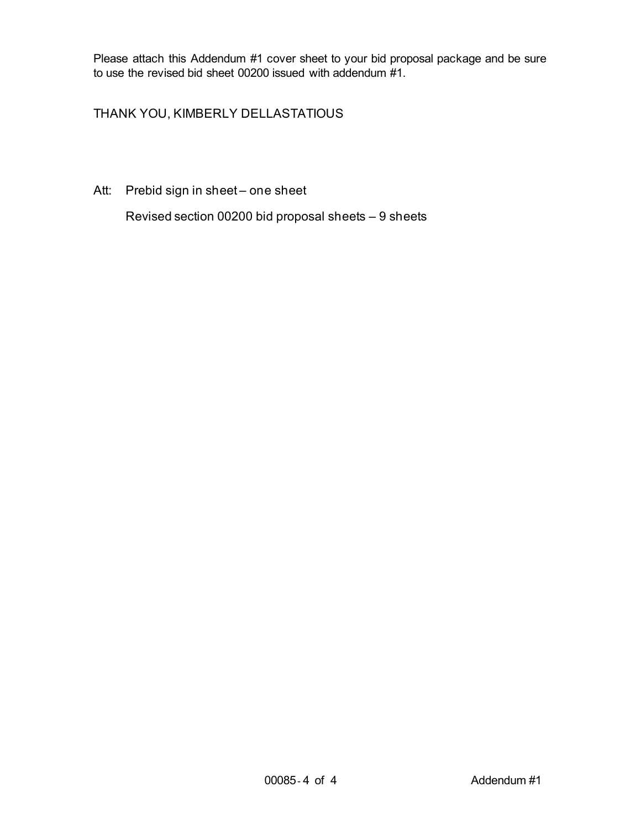Please attach this Addendum #1 cover sheet to your bid proposal package and be sure to use the revised bid sheet 00200 issued with addendum #1.

# THANK YOU, KIMBERLY DELLASTATIOUS

Att: Prebid sign in sheet – one sheet

Revised section 00200 bid proposal sheets – 9 sheets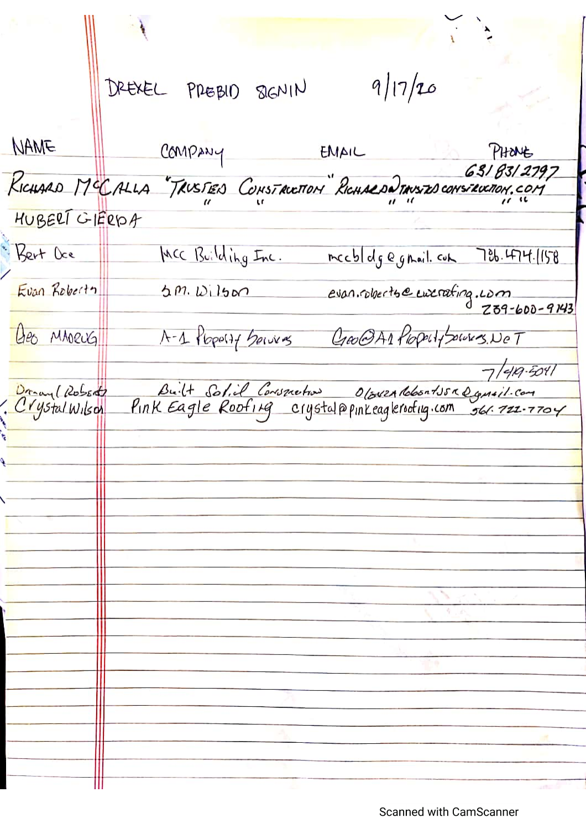$9/17/20$ DREXEL PREBIO SIGNIN NAME COMPANY ENAIL PHONE RICHARD MCCALLA TRUSTED CONSTRUCTION RICHARDO TANSED CONSTRUCTION.COM 6318312797 HUBERT GIERDA Rent Dee MCC Building Inc. meeblolg egnail.com 786.474.1158 evan.ruberte eux rating.com Evan Roberty  $5m. W15m$ Geo MADEUGI A-1 Plope(if being Credit Plopelt powers. NeT  $7/419.5011$ Built Solid Conspietion Oloven RobortJSR Dansil.com Drag (Robert)<br>Crystal Wilson

**Scanned with CamScanner**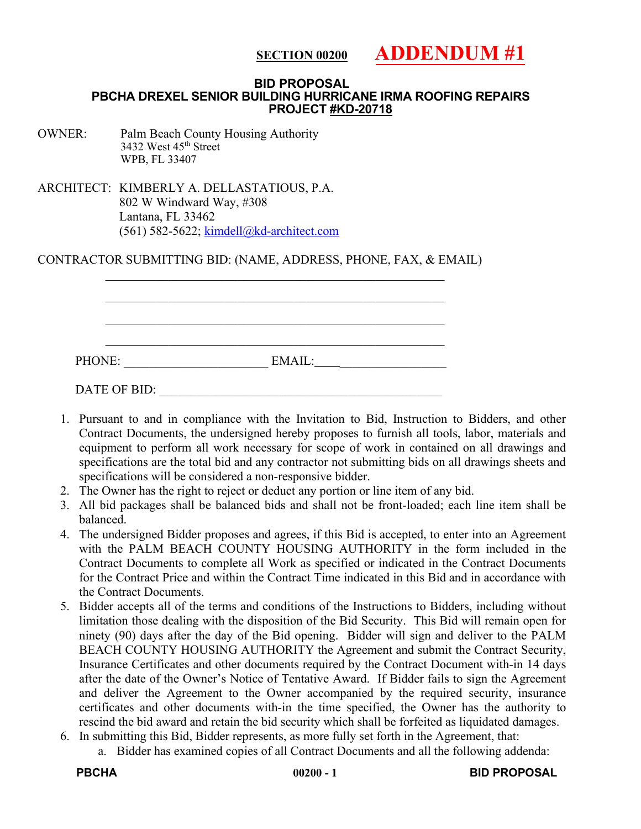#### **ADDENDUM #1 SECTION 00200**

#### **BID PROPOSAL PBCHA DREXEL SENIOR BUILDING HURRICANE IRMA ROOFING REPAIRS PROJECT #KD-20718**

OWNER: Palm Beach County Housing Authority 3432 West 45<sup>th</sup> Street WPB, FL 33407

ARCHITECT: KIMBERLY A. DELLASTATIOUS, P.A. 802 W Windward Way, #308 Lantana, FL 33462 (561) 582-5622; [kimdell@kd-architect.com](mailto:kimdell@kd-architect.com)

CONTRACTOR SUBMITTING BID: (NAME, ADDRESS, PHONE, FAX, & EMAIL)

| PHONE:       | EMAIL: |  |
|--------------|--------|--|
|              |        |  |
| DATE OF BID: |        |  |

- 1. Pursuant to and in compliance with the Invitation to Bid, Instruction to Bidders, and other Contract Documents, the undersigned hereby proposes to furnish all tools, labor, materials and equipment to perform all work necessary for scope of work in contained on all drawings and specifications are the total bid and any contractor not submitting bids on all drawings sheets and specifications will be considered a non-responsive bidder.
- 2. The Owner has the right to reject or deduct any portion or line item of any bid.
- 3. All bid packages shall be balanced bids and shall not be front-loaded; each line item shall be balanced.
- 4. The undersigned Bidder proposes and agrees, if this Bid is accepted, to enter into an Agreement with the PALM BEACH COUNTY HOUSING AUTHORITY in the form included in the Contract Documents to complete all Work as specified or indicated in the Contract Documents for the Contract Price and within the Contract Time indicated in this Bid and in accordance with the Contract Documents.
- 5. Bidder accepts all of the terms and conditions of the Instructions to Bidders, including without limitation those dealing with the disposition of the Bid Security. This Bid will remain open for ninety (90) days after the day of the Bid opening. Bidder will sign and deliver to the PALM BEACH COUNTY HOUSING AUTHORITY the Agreement and submit the Contract Security, Insurance Certificates and other documents required by the Contract Document with-in 14 days after the date of the Owner's Notice of Tentative Award. If Bidder fails to sign the Agreement and deliver the Agreement to the Owner accompanied by the required security, insurance certificates and other documents with-in the time specified, the Owner has the authority to rescind the bid award and retain the bid security which shall be forfeited as liquidated damages.
- 6. In submitting this Bid, Bidder represents, as more fully set forth in the Agreement, that:
	- a. Bidder has examined copies of all Contract Documents and all the following addenda: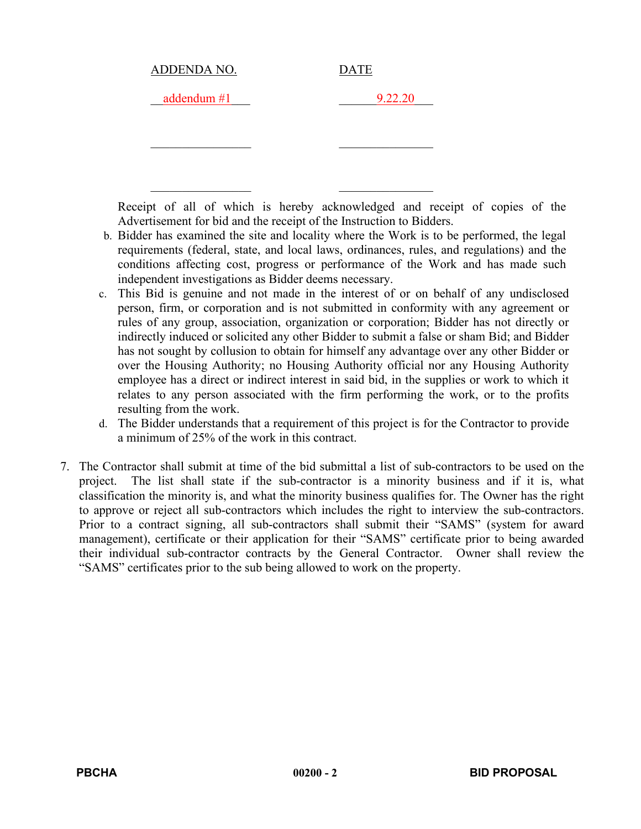| <b>DATE</b> |
|-------------|
| 9.22.20     |
|             |

\_\_\_\_\_\_\_\_\_\_\_\_\_\_\_\_ \_\_\_\_\_\_\_\_\_\_\_\_\_\_\_

Receipt of all of which is hereby acknowledged and receipt of copies of the Advertisement for bid and the receipt of the Instruction to Bidders.

- b. Bidder has examined the site and locality where the Work is to be performed, the legal requirements (federal, state, and local laws, ordinances, rules, and regulations) and the conditions affecting cost, progress or performance of the Work and has made such independent investigations as Bidder deems necessary.
- c. This Bid is genuine and not made in the interest of or on behalf of any undisclosed person, firm, or corporation and is not submitted in conformity with any agreement or rules of any group, association, organization or corporation; Bidder has not directly or indirectly induced or solicited any other Bidder to submit a false or sham Bid; and Bidder has not sought by collusion to obtain for himself any advantage over any other Bidder or over the Housing Authority; no Housing Authority official nor any Housing Authority employee has a direct or indirect interest in said bid, in the supplies or work to which it relates to any person associated with the firm performing the work, or to the profits resulting from the work.
- d. The Bidder understands that a requirement of this project is for the Contractor to provide a minimum of 25% of the work in this contract.
- 7. The Contractor shall submit at time of the bid submittal a list of sub-contractors to be used on the project. The list shall state if the sub-contractor is a minority business and if it is, what classification the minority is, and what the minority business qualifies for. The Owner has the right to approve or reject all sub-contractors which includes the right to interview the sub-contractors. Prior to a contract signing, all sub-contractors shall submit their "SAMS" (system for award management), certificate or their application for their "SAMS" certificate prior to being awarded their individual sub-contractor contracts by the General Contractor. Owner shall review the "SAMS" certificates prior to the sub being allowed to work on the property.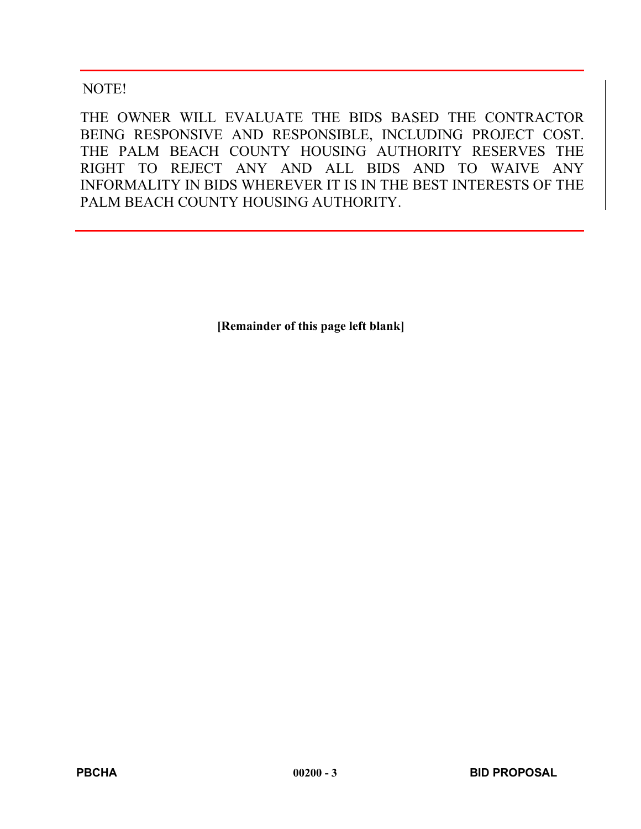# NOTE!

THE OWNER WILL EVALUATE THE BIDS BASED THE CONTRACTOR BEING RESPONSIVE AND RESPONSIBLE, INCLUDING PROJECT COST. THE PALM BEACH COUNTY HOUSING AUTHORITY RESERVES THE RIGHT TO REJECT ANY AND ALL BIDS AND TO WAIVE ANY INFORMALITY IN BIDS WHEREVER IT IS IN THE BEST INTERESTS OF THE PALM BEACH COUNTY HOUSING AUTHORITY.

**[Remainder of this page left blank]**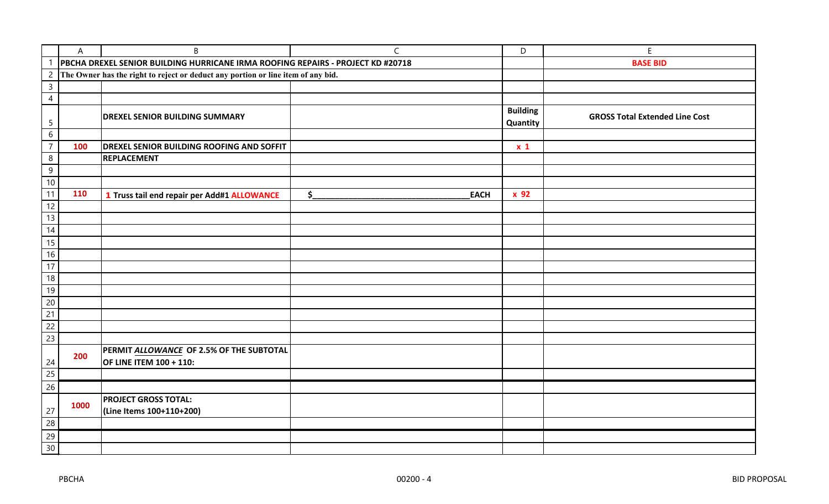|                  | A    | B                                                                                | $\mathsf{C}$                 | $\mathsf D$     | Е                                     |
|------------------|------|----------------------------------------------------------------------------------|------------------------------|-----------------|---------------------------------------|
|                  |      | PBCHA DREXEL SENIOR BUILDING HURRICANE IRMA ROOFING REPAIRS - PROJECT KD #20718  |                              |                 | <b>BASE BID</b>                       |
| $\overline{c}$   |      | The Owner has the right to reject or deduct any portion or line item of any bid. |                              |                 |                                       |
| $\mathsf{3}$     |      |                                                                                  |                              |                 |                                       |
| $\overline{4}$   |      |                                                                                  |                              |                 |                                       |
|                  |      | <b>DREXEL SENIOR BUILDING SUMMARY</b>                                            |                              | <b>Building</b> | <b>GROSS Total Extended Line Cost</b> |
| 5                |      |                                                                                  |                              | Quantity        |                                       |
| $6\,$            |      |                                                                                  |                              |                 |                                       |
| $\overline{7}$   | 100  | <b>DREXEL SENIOR BUILDING ROOFING AND SOFFIT</b>                                 |                              | $x_1$           |                                       |
| $\boldsymbol{8}$ |      | <b>REPLACEMENT</b>                                                               |                              |                 |                                       |
| 9                |      |                                                                                  |                              |                 |                                       |
| $10\,$           |      |                                                                                  |                              |                 |                                       |
| 11               | 110  | 1 Truss tail end repair per Add#1 ALLOWANCE                                      | $\frac{1}{2}$<br><b>EACH</b> | x 92            |                                       |
| 12               |      |                                                                                  |                              |                 |                                       |
| 13               |      |                                                                                  |                              |                 |                                       |
| 14               |      |                                                                                  |                              |                 |                                       |
| $15\,$           |      |                                                                                  |                              |                 |                                       |
| 16               |      |                                                                                  |                              |                 |                                       |
| 17               |      |                                                                                  |                              |                 |                                       |
| $18\,$           |      |                                                                                  |                              |                 |                                       |
| 19               |      |                                                                                  |                              |                 |                                       |
| 20               |      |                                                                                  |                              |                 |                                       |
| $\overline{21}$  |      |                                                                                  |                              |                 |                                       |
| $\overline{22}$  |      |                                                                                  |                              |                 |                                       |
| 23               |      |                                                                                  |                              |                 |                                       |
|                  | 200  | PERMIT ALLOWANCE OF 2.5% OF THE SUBTOTAL                                         |                              |                 |                                       |
| 24               |      | <b>OF LINE ITEM 100 + 110:</b>                                                   |                              |                 |                                       |
| 25               |      |                                                                                  |                              |                 |                                       |
| 26               |      |                                                                                  |                              |                 |                                       |
|                  |      | <b>PROJECT GROSS TOTAL:</b>                                                      |                              |                 |                                       |
| 27               | 1000 | (Line Items 100+110+200)                                                         |                              |                 |                                       |
| $\overline{28}$  |      |                                                                                  |                              |                 |                                       |
| 29               |      |                                                                                  |                              |                 |                                       |
| 30               |      |                                                                                  |                              |                 |                                       |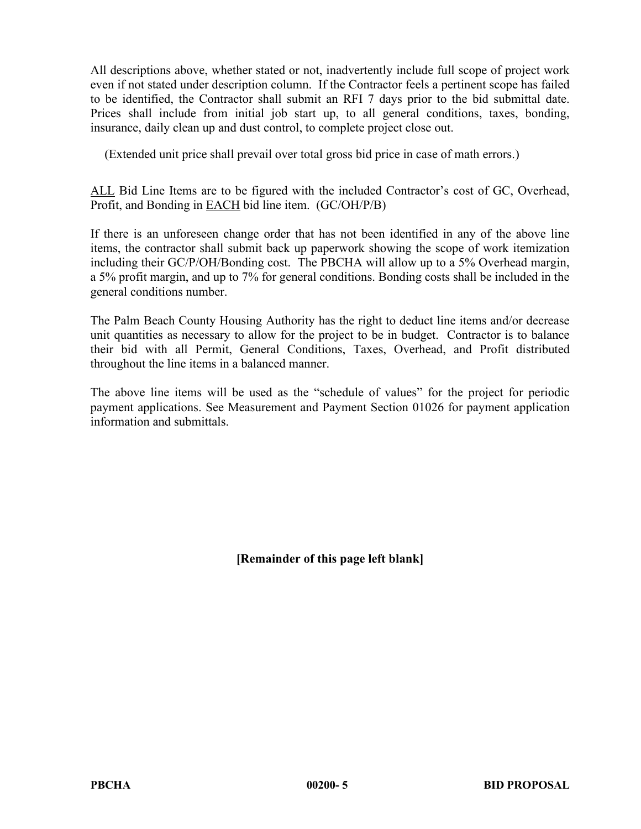All descriptions above, whether stated or not, inadvertently include full scope of project work even if not stated under description column. If the Contractor feels a pertinent scope has failed to be identified, the Contractor shall submit an RFI 7 days prior to the bid submittal date. Prices shall include from initial job start up, to all general conditions, taxes, bonding, insurance, daily clean up and dust control, to complete project close out.

(Extended unit price shall prevail over total gross bid price in case of math errors.)

ALL Bid Line Items are to be figured with the included Contractor's cost of GC, Overhead, Profit, and Bonding in EACH bid line item. (GC/OH/P/B)

If there is an unforeseen change order that has not been identified in any of the above line items, the contractor shall submit back up paperwork showing the scope of work itemization including their GC/P/OH/Bonding cost. The PBCHA will allow up to a 5% Overhead margin, a 5% profit margin, and up to 7% for general conditions. Bonding costs shall be included in the general conditions number.

The Palm Beach County Housing Authority has the right to deduct line items and/or decrease unit quantities as necessary to allow for the project to be in budget. Contractor is to balance their bid with all Permit, General Conditions, Taxes, Overhead, and Profit distributed throughout the line items in a balanced manner.

The above line items will be used as the "schedule of values" for the project for periodic payment applications. See Measurement and Payment Section 01026 for payment application information and submittals.

**[Remainder of this page left blank]**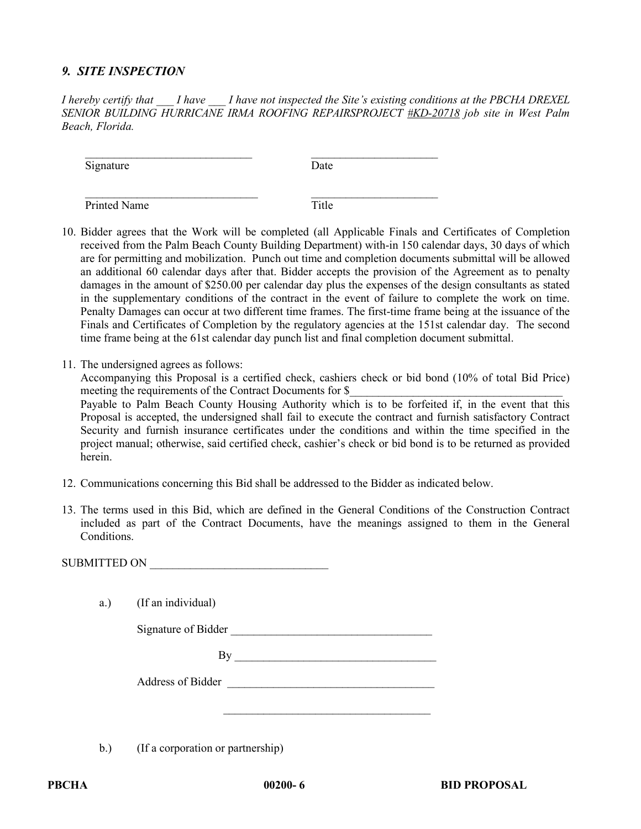# *9. SITE INSPECTION*

*I hereby certify that \_\_\_ I have \_\_\_ I have not inspected the Site's existing conditions at the PBCHA DREXEL SENIOR BUILDING HURRICANE IRMA ROOFING REPAIRSPROJECT #KD-20718 job site in West Palm Beach, Florida.*

\_\_\_\_\_\_\_\_\_\_\_\_\_\_\_\_\_\_\_\_\_\_\_\_\_\_\_\_\_ \_\_\_\_\_\_\_\_\_\_\_\_\_\_\_\_\_\_\_\_\_\_

\_\_\_\_\_\_\_\_\_\_\_\_\_\_\_\_\_\_\_\_\_\_\_\_\_\_\_\_\_\_ \_\_\_\_\_\_\_\_\_\_\_\_\_\_\_\_\_\_\_\_\_\_

Signature Date

Printed Name Title

- 10. Bidder agrees that the Work will be completed (all Applicable Finals and Certificates of Completion received from the Palm Beach County Building Department) with-in 150 calendar days, 30 days of which are for permitting and mobilization. Punch out time and completion documents submittal will be allowed an additional 60 calendar days after that. Bidder accepts the provision of the Agreement as to penalty damages in the amount of \$250.00 per calendar day plus the expenses of the design consultants as stated in the supplementary conditions of the contract in the event of failure to complete the work on time. Penalty Damages can occur at two different time frames. The first-time frame being at the issuance of the Finals and Certificates of Completion by the regulatory agencies at the 151st calendar day. The second time frame being at the 61st calendar day punch list and final completion document submittal.
- 11. The undersigned agrees as follows:

Accompanying this Proposal is a certified check, cashiers check or bid bond (10% of total Bid Price) meeting the requirements of the Contract Documents for \$

Payable to Palm Beach County Housing Authority which is to be forfeited if, in the event that this Proposal is accepted, the undersigned shall fail to execute the contract and furnish satisfactory Contract Security and furnish insurance certificates under the conditions and within the time specified in the project manual; otherwise, said certified check, cashier's check or bid bond is to be returned as provided herein.

- 12. Communications concerning this Bid shall be addressed to the Bidder as indicated below.
- 13. The terms used in this Bid, which are defined in the General Conditions of the Construction Contract included as part of the Contract Documents, have the meanings assigned to them in the General Conditions.

| a.) | (If an individual)                |
|-----|-----------------------------------|
|     | Signature of Bidder               |
|     | By                                |
|     | Address of Bidder                 |
|     |                                   |
| b.) | (If a corporation or partnership) |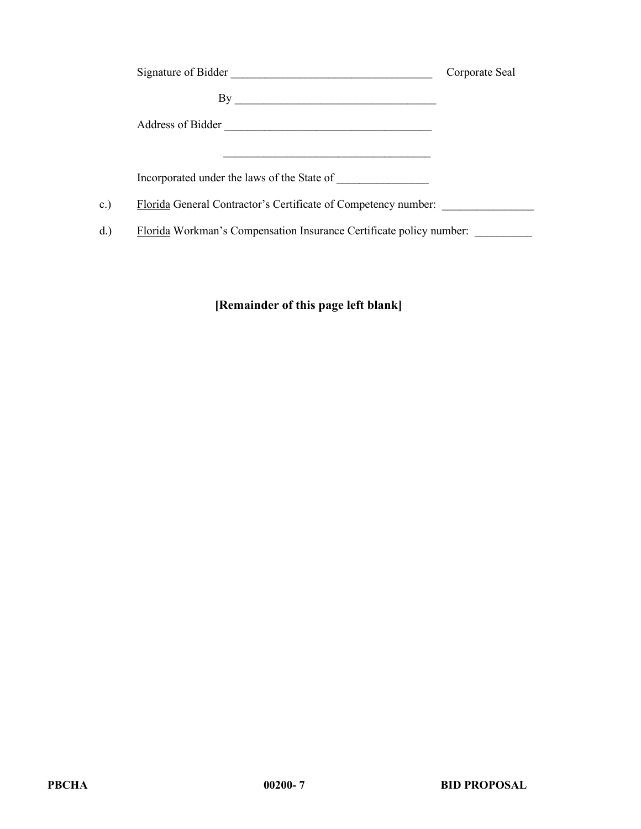|     | Signature of Bidder                                                    | Corporate Seal |
|-----|------------------------------------------------------------------------|----------------|
|     | By                                                                     |                |
|     | Address of Bidder<br><u> 1980 - Jan Barnett, mars et al. (</u> † 1910) |                |
|     |                                                                        |                |
|     | Incorporated under the laws of the State of                            |                |
| c.) | Florida General Contractor's Certificate of Competency number:         |                |
| d.  | Florida Workman's Compensation Insurance Certificate policy number:    |                |

# **[Remainder of this page left blank]**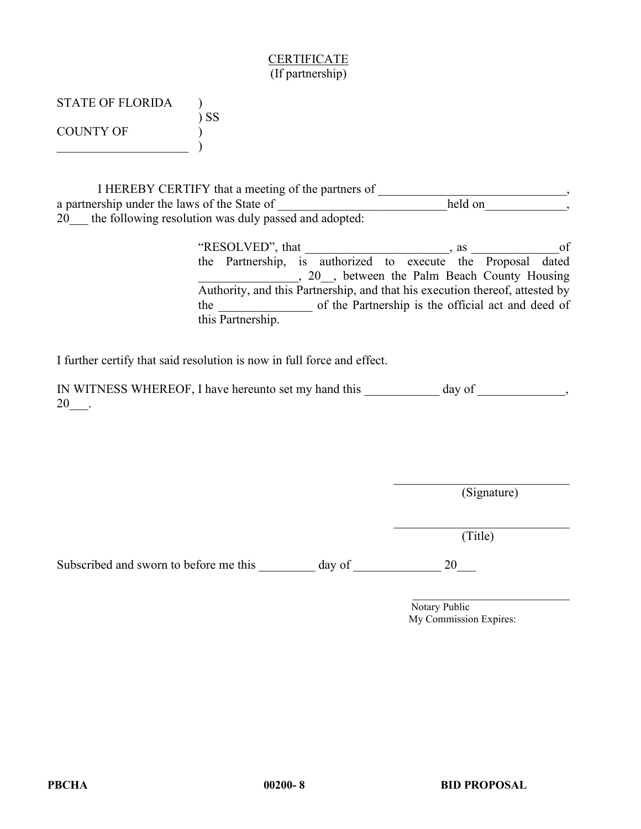## CERTIFICATE (If partnership)

| <b>STATE OF FLORIDA</b> |        |
|-------------------------|--------|
|                         | $)$ SS |
| COUNTY OF               |        |
|                         |        |

I HEREBY CERTIFY that a meeting of the partners of \_\_\_\_\_\_\_\_\_\_\_\_\_\_\_\_\_\_\_\_\_\_\_\_, a partnership under the laws of the State of \_\_\_\_\_\_\_\_\_\_\_\_\_\_\_\_\_\_\_\_\_\_\_\_\_\_\_\_\_\_\_\_\_\_, 20\_\_\_ the following resolution was duly passed and adopted:

> "RESOLVED", that \_\_\_\_\_\_\_\_\_\_\_\_\_\_\_\_\_\_\_\_\_\_\_, as \_\_\_\_\_\_\_\_\_\_\_\_\_\_of the Partnership, is authorized to execute the Proposal dated \_\_\_\_\_\_\_\_\_\_\_\_\_\_\_\_, 20\_\_, between the Palm Beach County Housing Authority, and this Partnership, and that his execution thereof, attested by the \_\_\_\_\_\_\_\_\_\_\_\_\_\_\_ of the Partnership is the official act and deed of this Partnership.

I further certify that said resolution is now in full force and effect.

IN WITNESS WHEREOF, I have hereunto set my hand this \_\_\_\_\_\_\_\_\_\_\_ day of \_\_\_\_\_\_\_\_\_\_\_\_, 20\_\_\_.

(Signature)

(Title)

Subscribed and sworn to before me this day of 20

Notary Public My Commission Expires:

\_\_\_\_\_\_\_\_\_\_\_\_\_\_\_\_\_\_\_\_\_\_\_\_\_\_\_\_